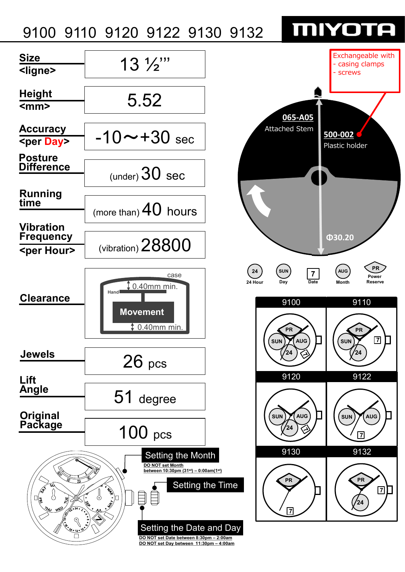